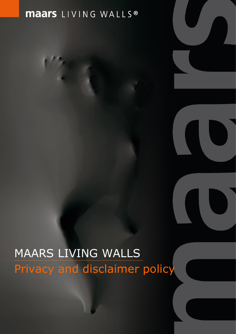## **maars** LIVING WALLS<sup>®</sup>

# MAARS LIVING WALLS Privacy and disclaimer policy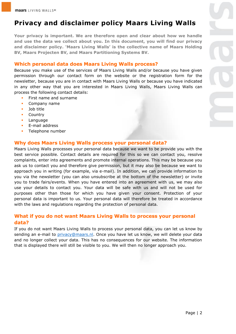### **Privacy and disclaimer policy Maars Living Walls**

**Your privacy is important. We are therefore open and clear about how we handle and use the data we collect about you. In this document, you will find our privacy and disclaimer policy. 'Maars Living Walls' is the collective name of Maars Holding BV, Maars Projecten BV, and Maars Partitioning Systems BV.** 

#### **Which personal data does Maars Living Walls process?**

Because you make use of the services of Maars Living Walls and/or because you have given permission through our contact form on the website or the registration form for the newsletter, because you are in contact with Maars Living Walls or because you have indicated in any other way that you are interested in Maars Living Walls, Maars Living Walls can process the following contact details:

- First name and surname
- Company name
- Job title
- **Country**
- Language
- **E**-mail address
- Telephone number

#### **Why does Maars Living Walls process your personal data?**

Maars Living Walls processes your personal data because we want to be provide you with the best service possible. Contact details are required for this so we can contact you, resolve complaints, enter into agreements and promote internal operations. This may be because you ask us to contact you and therefore give permission, but it may also be because we want to approach you in writing (for example, via e-mail). In addition, we can provide information to you via the newsletter (you can also unsubscribe at the bottom of the newsletter) or invite you to trade fairs/events. When you have entered into an agreement with us, we may also use your details to contact you. Your data will be safe with us and will not be used for purposes other than those for which you have given your consent. Protection of your personal data is important to us. Your personal data will therefore be treated in accordance with the laws and regulations regarding the protection of personal data.

#### **What if you do not want Maars Living Walls to process your personal data?**

If you do not want Maars Living Walls to process your personal data, you can let us know by sending an e-mail to [privacy@maars.nl.](privacy@maars.nl) Once you have let us know, we will delete your data and no longer collect your data. This has no consequences for our website. The information that is displayed there will still be visible to you. We will then no longer approach you.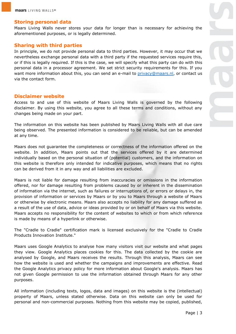#### **Storing personal data**

Maars Living Walls never stores your data for longer than is necessary for achieving the aforementioned purposes, or is legally determined.

#### **Sharing with third parties**

In principle, we do not provide personal data to third parties. However, it may occur that we nevertheless exchange personal data with a third party if the requested services require this, or if this is legally required. If this is the case, we will specify what this party can do with this personal data in a processor agreement. We set strict security requirements for this. If you want more information about this, you can send an e-mail to [privacy@maars.nl,](privacy@maars.nl) or contact us via the contact form.

#### **Disclaimer website**

Access to and use of this website of Maars Living Walls is governed by the following disclaimer. By using this website, you agree to all these terms and conditions, without any changes being made on your part.

The information on this website has been published by Maars Living Walls with all due care being observed. The presented information is considered to be reliable, but can be amended at any time.

Maars does not guarantee the completeness or correctness of the information offered on the website. In addition, Maars points out that the services offered by it are determined individually based on the personal situation of (potential) customers, and the information on this website is therefore only intended for indicative purposes, which means that no rights can be derived from it in any way and all liabilities are excluded.

Maars is not liable for damage resulting from inaccuracies or omissions in the information offered, nor for damage resulting from problems caused by or inherent in the dissemination of information via the internet, such as failures or interruptions of, or errors or delays in, the provision of information or services by Maars or by you to Maars through a website of Maars or otherwise by electronic means. Maars also accepts no liability for any damage suffered as a result of the use of data, advice or ideas provided by or on behalf of Maars via this website. Maars accepts no responsibility for the content of websites to which or from which reference is made by means of a hyperlink or otherwise.

The "Cradle to Cradle" certification mark is licensed exclusively for the "Cradle to Cradle Products Innovation Institute."

Maars uses Google Analytics to analyse how many visitors visit our website and what pages they view. Google Analytics places cookies for this. The data collected by the cookie are analysed by Google, and Maars receives the results. Through this analysis, Maars can see how the website is used and whether the campaigns and improvements are effective. Read the Google Analytics privacy policy for more information about Google's analysis. Maars has not given Google permission to use the information obtained through Maars for any other purposes.

All information (including texts, logos, data and images) on this website is the (intellectual) property of Maars, unless stated otherwise. Data on this website can only be used for personal and non-commercial purposes. Nothing from this website may be copied, published,